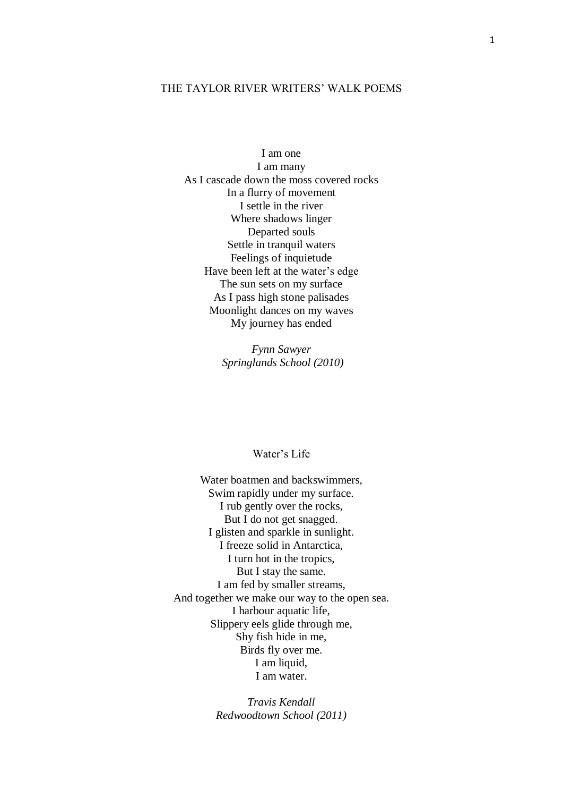### THE TAYLOR RIVER WRITERS' WALK POEMS

I am one I am many As I cascade down the moss covered rocks In a flurry of movement I settle in the river Where shadows linger Departed souls Settle in tranquil waters Feelings of inquietude Have been left at the water's edge The sun sets on my surface As I pass high stone palisades Moonlight dances on my waves My journey has ended

> *Fynn Sawyer Springlands School (2010)*

# Water's Life

Water boatmen and backswimmers, Swim rapidly under my surface. I rub gently over the rocks, But I do not get snagged. I glisten and sparkle in sunlight. I freeze solid in Antarctica, I turn hot in the tropics, But I stay the same. I am fed by smaller streams, And together we make our way to the open sea. I harbour aquatic life, Slippery eels glide through me, Shy fish hide in me, Birds fly over me. I am liquid, I am water.

> *Travis Kendall Redwoodtown School (2011)*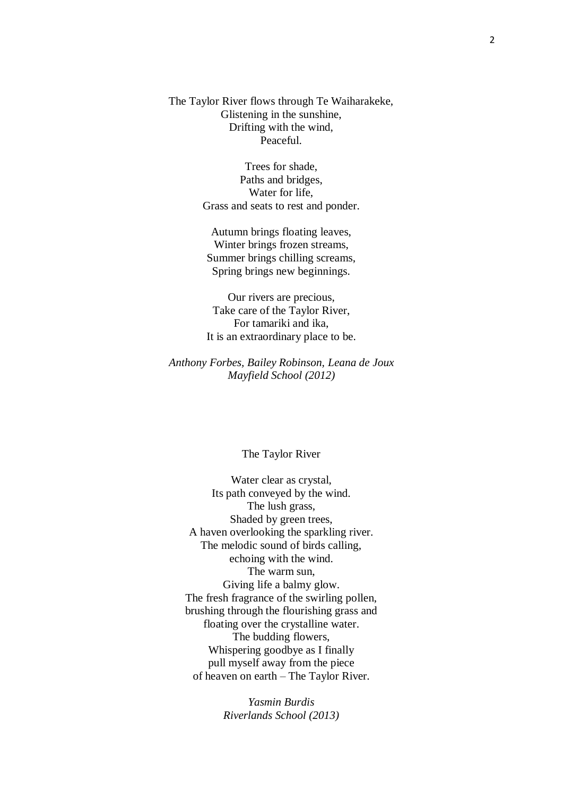The Taylor River flows through Te Waiharakeke, Glistening in the sunshine, Drifting with the wind, Peaceful.

> Trees for shade, Paths and bridges, Water for life, Grass and seats to rest and ponder.

Autumn brings floating leaves, Winter brings frozen streams, Summer brings chilling screams, Spring brings new beginnings.

Our rivers are precious, Take care of the Taylor River, For tamariki and ika, It is an extraordinary place to be.

*Anthony Forbes, Bailey Robinson, Leana de Joux Mayfield School (2012)*

#### The Taylor River

Water clear as crystal, Its path conveyed by the wind. The lush grass, Shaded by green trees, A haven overlooking the sparkling river. The melodic sound of birds calling, echoing with the wind. The warm sun, Giving life a balmy glow. The fresh fragrance of the swirling pollen, brushing through the flourishing grass and floating over the crystalline water. The budding flowers, Whispering goodbye as I finally pull myself away from the piece of heaven on earth – The Taylor River.

> *Yasmin Burdis Riverlands School (2013)*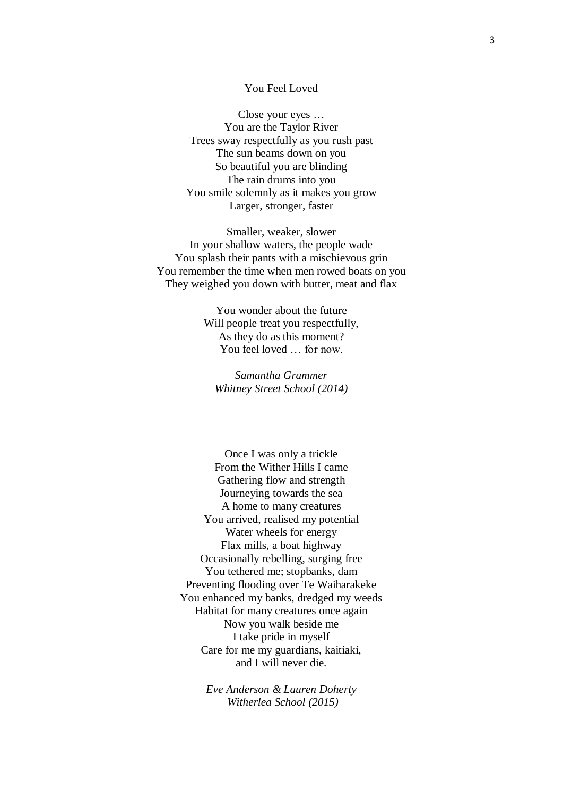# You Feel Loved

Close your eyes … You are the Taylor River Trees sway respectfully as you rush past The sun beams down on you So beautiful you are blinding The rain drums into you You smile solemnly as it makes you grow Larger, stronger, faster

Smaller, weaker, slower In your shallow waters, the people wade You splash their pants with a mischievous grin You remember the time when men rowed boats on you They weighed you down with butter, meat and flax

> You wonder about the future Will people treat you respectfully, As they do as this moment? You feel loved … for now.

*Samantha Grammer Whitney Street School (2014)*

Once I was only a trickle From the Wither Hills I came Gathering flow and strength Journeying towards the sea A home to many creatures You arrived, realised my potential Water wheels for energy Flax mills, a boat highway Occasionally rebelling, surging free You tethered me; stopbanks, dam Preventing flooding over Te Waiharakeke You enhanced my banks, dredged my weeds Habitat for many creatures once again Now you walk beside me I take pride in myself Care for me my guardians, kaitiaki, and I will never die.

> *Eve Anderson & Lauren Doherty Witherlea School (2015)*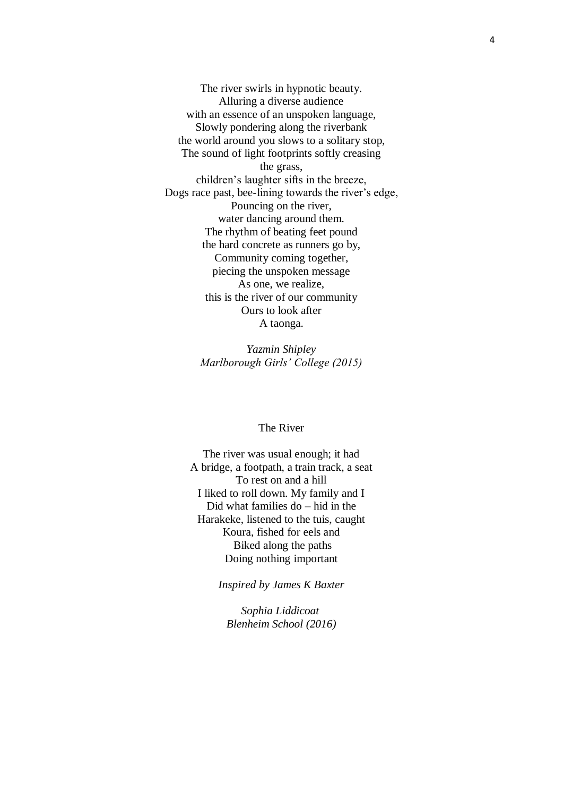The river swirls in hypnotic beauty. Alluring a diverse audience with an essence of an unspoken language, Slowly pondering along the riverbank the world around you slows to a solitary stop, The sound of light footprints softly creasing the grass, children's laughter sifts in the breeze, Dogs race past, bee-lining towards the river's edge, Pouncing on the river, water dancing around them. The rhythm of beating feet pound the hard concrete as runners go by, Community coming together, piecing the unspoken message As one, we realize, this is the river of our community Ours to look after A taonga.

> *Yazmin Shipley Marlborough Girls' College (2015)*

#### The River

The river was usual enough; it had A bridge, a footpath, a train track, a seat To rest on and a hill I liked to roll down. My family and I Did what families do – hid in the Harakeke, listened to the tuis, caught Koura, fished for eels and Biked along the paths Doing nothing important

*Inspired by James K Baxter*

*Sophia Liddicoat Blenheim School (2016)*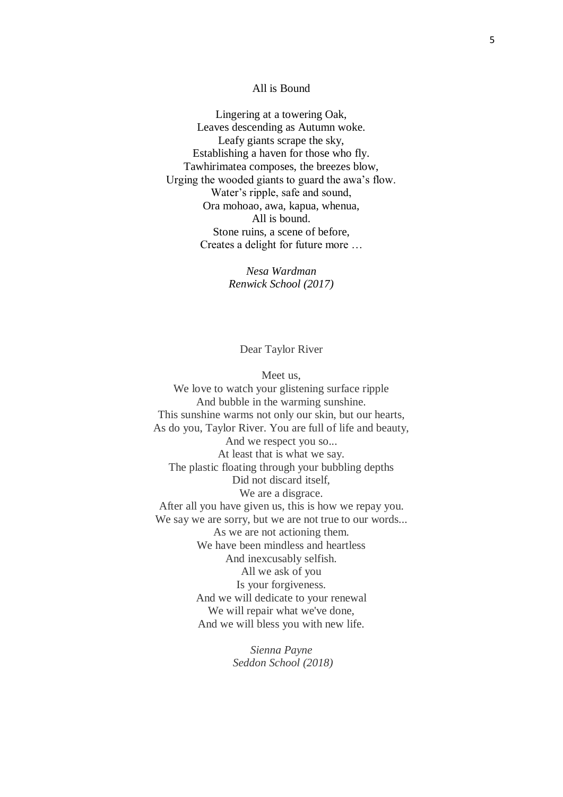# All is Bound

Lingering at a towering Oak, Leaves descending as Autumn woke. Leafy giants scrape the sky, Establishing a haven for those who fly. Tawhirimatea composes, the breezes blow, Urging the wooded giants to guard the awa's flow. Water's ripple, safe and sound, Ora mohoao, awa, kapua, whenua, All is bound. Stone ruins, a scene of before, Creates a delight for future more …

> *Nesa Wardman Renwick School (2017)*

> > Dear Taylor River

Meet us, We love to watch your glistening surface ripple And bubble in the warming sunshine. This sunshine warms not only our skin, but our hearts, As do you, Taylor River. You are full of life and beauty, And we respect you so... At least that is what we say. The plastic floating through your bubbling depths Did not discard itself, We are a disgrace. After all you have given us, this is how we repay you. We say we are sorry, but we are not true to our words... As we are not actioning them. We have been mindless and heartless And inexcusably selfish. All we ask of you Is your forgiveness. And we will dedicate to your renewal We will repair what we've done, And we will bless you with new life.

> *Sienna Payne Seddon School (2018)*